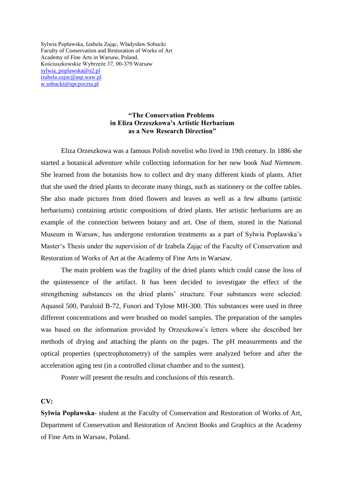Sylwia Popławska, Izabela Zając, Władysław Sobucki Faculty of Conservation and Restoration of Works of Art Academy of Fine Arts in Warsaw, Poland. Kościuszkowskie Wybrzeże 37, 00-379 Warsaw [sylwia\\_poplawska@o2.pl](mailto:sylwia_poplawska@o2.pl) [izabela.zajac@asp.waw.pl](mailto:izabela.zajac@asp.waw.pl) [w.sobucki@upcpoczta.pl](mailto:w.sobucki@upcpoczta.pl)

## **"The Conservation Problems in Eliza Orzeszkowa's Artistic Herbarium as a New Research Direction"**

Eliza Orzeszkowa was a famous Polish novelist who lived in 19th century. In 1886 she started a botanical adventure while collecting information for her new book *Nad Niemnem*. She learned from the botanists how to collect and dry many different kinds of plants. After that she used the dried plants to decorate many things, such as stationery or the coffee tables. She also made pictures from dried flowers and leaves as well as a few albums (artistic herbariums) containing artistic compositions of dried plants. Her artistic herbariums are an example of the connection between botany and art. One of them, stored in the National Museum in Warsaw, has undergone restoration treatments as a part of Sylwia Poplawska's Master's Thesis under the supervision of dr Izabela Zając of the Faculty of Conservation and Restoration of Works of Art at the Academy of Fine Arts in Warsaw.

The main problem was the fragility of the dried plants which could cause the loss of the quintessence of the artifact. It has been decided to investigate the effect of the strengthening substances on the dried plants' structure. Four substances were selected: Aquasol 500, Paraloid B-72, Funori and Tylose MH-300. This substances were used in three different concentrations and were brushed on model samples. The preparation of the samples was based on the information provided by Orzeszkowa's letters where she described her methods of drying and attaching the plants on the pages. The pH measurements and the optical properties (spectrophotometry) of the samples were analyzed before and after the acceleration aging test (in a controlled climat chamber and to the suntest).

Poster will present the results and conclusions of this research.

## **CV:**

**Sylwia Popławska**- student at the Faculty of Conservation and Restoration of Works of Art, Department of Conservation and Restoration of Ancient Books and Graphics at the Academy of Fine Arts in Warsaw, Poland.